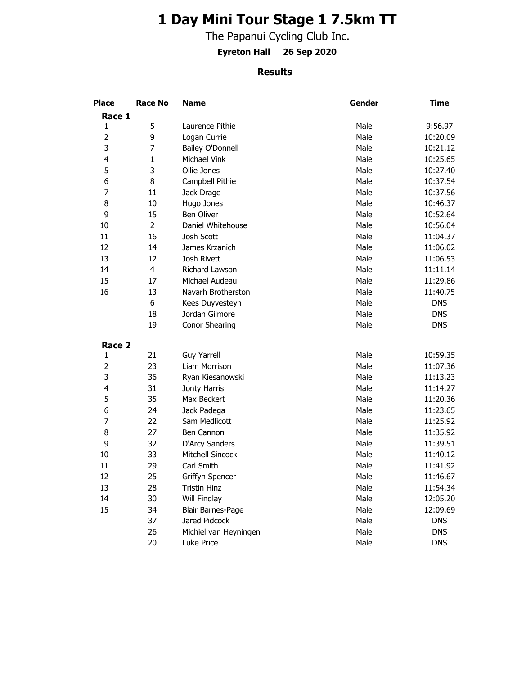## **1 Day Mini Tour Stage 1 7.5km TT**

The Papanui Cycling Club Inc.

**Eyreton Hall 26 Sep 2020**

## **Results**

| <b>Place</b>   | <b>Race No</b> | <b>Name</b>           | Gender | Time       |
|----------------|----------------|-----------------------|--------|------------|
| Race 1         |                |                       |        |            |
| 1              | 5              | Laurence Pithie       | Male   | 9:56.97    |
| $\overline{2}$ | 9              | Logan Currie          | Male   | 10:20.09   |
| 3              | $\overline{7}$ | Bailey O'Donnell      | Male   | 10:21.12   |
| 4              | $\mathbf{1}$   | Michael Vink          | Male   | 10:25.65   |
| 5              | 3              | Ollie Jones           | Male   | 10:27.40   |
| 6              | 8              | Campbell Pithie       | Male   | 10:37.54   |
| 7              | 11             | Jack Drage            | Male   | 10:37.56   |
| 8              | 10             | Hugo Jones            | Male   | 10:46.37   |
| 9              | 15             | <b>Ben Oliver</b>     | Male   | 10:52.64   |
| 10             | $\overline{2}$ | Daniel Whitehouse     | Male   | 10:56.04   |
| 11             | 16             | Josh Scott            | Male   | 11:04.37   |
| 12             | 14             | James Krzanich        | Male   | 11:06.02   |
| 13             | 12             | Josh Rivett           | Male   | 11:06.53   |
| 14             | 4              | Richard Lawson        | Male   | 11:11.14   |
| 15             | 17             | Michael Audeau        | Male   | 11:29.86   |
| 16             | 13             | Navarh Brotherston    | Male   | 11:40.75   |
|                | 6              | Kees Duyvesteyn       | Male   | <b>DNS</b> |
|                | 18             | Jordan Gilmore        | Male   | <b>DNS</b> |
|                | 19             | <b>Conor Shearing</b> | Male   | <b>DNS</b> |
| Race 2         |                |                       |        |            |
| 1              | 21             | <b>Guy Yarrell</b>    | Male   | 10:59.35   |
| $\overline{2}$ | 23             | Liam Morrison         | Male   | 11:07.36   |
| 3              | 36             | Ryan Kiesanowski      | Male   | 11:13.23   |
| 4              | 31             | Jonty Harris          | Male   | 11:14.27   |
| 5              | 35             | Max Beckert           | Male   | 11:20.36   |
| 6              | 24             | Jack Padega           | Male   | 11:23.65   |
| 7              | 22             | Sam Medlicott         | Male   | 11:25.92   |
| 8              | 27             | Ben Cannon            | Male   | 11:35.92   |
| 9              | 32             | D'Arcy Sanders        | Male   | 11:39.51   |
| 10             | 33             | Mitchell Sincock      | Male   | 11:40.12   |
| 11             | 29             | Carl Smith            | Male   | 11:41.92   |
| 12             | 25             | Griffyn Spencer       | Male   | 11:46.67   |
| 13             | 28             | <b>Tristin Hinz</b>   | Male   | 11:54.34   |
| 14             | 30             | Will Findlay          | Male   | 12:05.20   |
| 15             | 34             | Blair Barnes-Page     | Male   | 12:09.69   |
|                | 37             | Jared Pidcock         | Male   | <b>DNS</b> |
|                | 26             | Michiel van Heyningen | Male   | <b>DNS</b> |
|                | 20             | Luke Price            | Male   | <b>DNS</b> |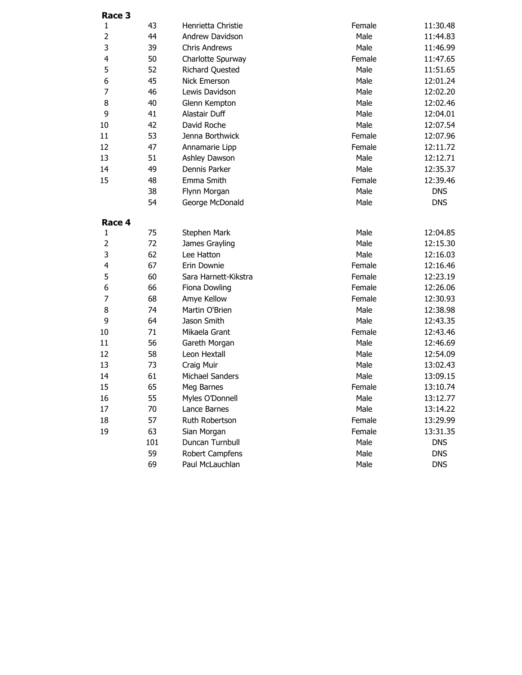| Race 3                  |     |                        |        |            |
|-------------------------|-----|------------------------|--------|------------|
| $\mathbf{1}$            | 43  | Henrietta Christie     | Female | 11:30.48   |
| $\overline{2}$          | 44  | Andrew Davidson        | Male   | 11:44.83   |
| 3                       | 39  | <b>Chris Andrews</b>   | Male   | 11:46.99   |
| $\overline{\mathbf{4}}$ | 50  | Charlotte Spurway      | Female | 11:47.65   |
| 5                       | 52  | <b>Richard Quested</b> | Male   | 11:51.65   |
| 6                       | 45  | <b>Nick Emerson</b>    | Male   | 12:01.24   |
| 7                       | 46  | Lewis Davidson         | Male   | 12:02.20   |
| 8                       | 40  | Glenn Kempton          | Male   | 12:02.46   |
| 9                       | 41  | Alastair Duff          | Male   | 12:04.01   |
| 10                      | 42  | David Roche            | Male   | 12:07.54   |
| 11                      | 53  | Jenna Borthwick        | Female | 12:07.96   |
| 12                      | 47  | Annamarie Lipp         | Female | 12:11.72   |
| 13                      | 51  | Ashley Dawson          | Male   | 12:12.71   |
| 14                      | 49  | Dennis Parker          | Male   | 12:35.37   |
| 15                      | 48  | Emma Smith             | Female | 12:39.46   |
|                         | 38  | Flynn Morgan           | Male   | <b>DNS</b> |
|                         | 54  | George McDonald        | Male   | <b>DNS</b> |
| Race 4                  |     |                        |        |            |
| 1                       | 75  | Stephen Mark           | Male   | 12:04.85   |
| $\overline{2}$          | 72  | James Grayling         | Male   | 12:15.30   |
| 3                       | 62  | Lee Hatton             | Male   | 12:16.03   |
| 4                       | 67  | Erin Downie            | Female | 12:16.46   |
| 5                       | 60  | Sara Harnett-Kikstra   | Female | 12:23.19   |
| 6                       | 66  | Fiona Dowling          | Female | 12:26.06   |
| 7                       | 68  | Amye Kellow            | Female | 12:30.93   |
| 8                       | 74  | Martin O'Brien         | Male   | 12:38.98   |
| 9                       | 64  | Jason Smith            | Male   | 12:43.35   |
| 10                      | 71  | Mikaela Grant          | Female | 12:43.46   |
| 11                      | 56  | Gareth Morgan          | Male   | 12:46.69   |
| 12                      | 58  | Leon Hextall           | Male   | 12:54.09   |
| 13                      | 73  | Craig Muir             | Male   | 13:02.43   |
| 14                      | 61  | <b>Michael Sanders</b> | Male   | 13:09.15   |
| 15                      | 65  | Meg Barnes             | Female | 13:10.74   |
| 16                      | 55  | Myles O'Donnell        | Male   | 13:12.77   |
| 17                      | 70  | Lance Barnes           | Male   | 13:14.22   |
| 18                      | 57  | Ruth Robertson         | Female | 13:29.99   |
| 19                      | 63  | Sian Morgan            | Female | 13:31.35   |
|                         | 101 | Duncan Turnbull        | Male   | <b>DNS</b> |
|                         | 59  | Robert Campfens        | Male   | <b>DNS</b> |
|                         | 69  | Paul McLauchlan        | Male   | <b>DNS</b> |